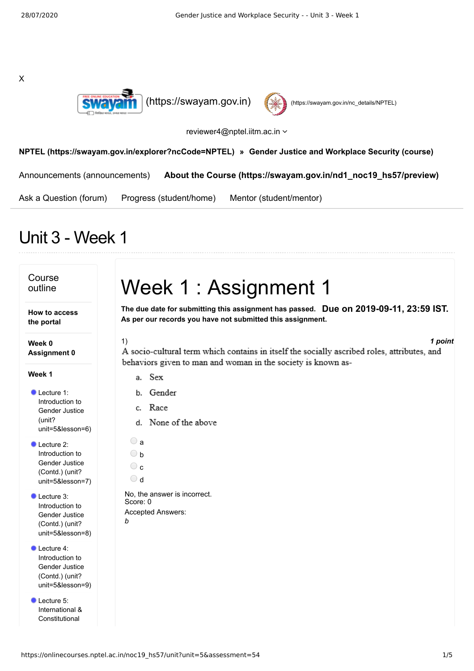X





reviewer4@nptel.iitm.ac.in  $\sim$ 

**[NPTEL \(https://swayam.gov.in/explorer?ncCode=NPTEL\)](https://swayam.gov.in/explorer?ncCode=NPTEL) » [Gender Justice and Workplace Security \(course\)](https://onlinecourses.nptel.ac.in/noc19_hs57/course)**

[Announcements \(announcements\)](https://onlinecourses.nptel.ac.in/noc19_hs57/announcements) **[About the Course \(https://swayam.gov.in/nd1\\_noc19\\_hs57/preview\)](https://swayam.gov.in/nd1_noc19_hs57/preview)**

[Ask a Question \(forum\)](https://onlinecourses.nptel.ac.in/noc19_hs57/forum) [Progress \(student/home\)](https://onlinecourses.nptel.ac.in/noc19_hs57/student/home) [Mentor \(student/mentor\)](https://onlinecourses.nptel.ac.in/noc19_hs57/student/mentor)

## Unit 3 - Week 1

### Course outline

**How to access the portal**

**Week 0 Assignment 0**

**Week 1**

Lecture 1: Introduction to Gender Justice (unit? [unit=5&lesson=6\)](https://onlinecourses.nptel.ac.in/noc19_hs57/unit?unit=5&lesson=6)

Lecture 2: Introduction to Gender Justice (Contd.) (unit? [unit=5&lesson=7\)](https://onlinecourses.nptel.ac.in/noc19_hs57/unit?unit=5&lesson=7)

Lecture 3: Introduction to Gender Justice (Contd.) (unit? [unit=5&lesson=8\)](https://onlinecourses.nptel.ac.in/noc19_hs57/unit?unit=5&lesson=8)

- Lecture 4: Introduction to Gender Justice (Contd.) (unit? [unit=5&lesson=9\)](https://onlinecourses.nptel.ac.in/noc19_hs57/unit?unit=5&lesson=9)
- Lecture 5: International & [Constitutional](https://onlinecourses.nptel.ac.in/noc19_hs57/unit?unit=5&lesson=10)

# Week 1 : Assignment 1

**Due on 2019-09-11, 23:59 IST. The due date for submitting this assignment has passed. As per our records you have not submitted this assignment.**

1) *1 point*

A socio-cultural term which contains in itself the socially ascribed roles, attributes, and behaviors given to man and woman in the society is known as-

- a. Sex
- b. Gender
- c. Race
- d. None of the above
- $\bigcirc$  a  $\bigcirc$  b
- $\circ$
- $\bigcirc$  d

No, the answer is incorrect. Score: 0 Accepted Answers: *b*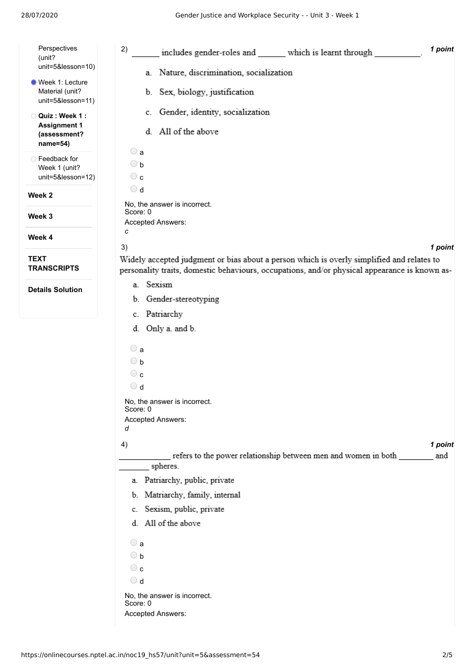| Perspectives<br>(unit?                                  | 2)<br>1 point<br>includes gender-roles and ______ which is learnt through                                                                                                                                   |
|---------------------------------------------------------|-------------------------------------------------------------------------------------------------------------------------------------------------------------------------------------------------------------|
| unit=5&lesson=10)                                       | a. Nature, discrimination, socialization                                                                                                                                                                    |
| Week 1: Lecture<br>Material (unit?<br>unit=5&lesson=11) | b. Sex, biology, justification                                                                                                                                                                              |
| Quiz: Week 1:<br>O<br><b>Assignment 1</b>               | c. Gender, identity, socialization                                                                                                                                                                          |
| (assessment?<br>name=54)                                | d. All of the above                                                                                                                                                                                         |
| ◯ Feedback for                                          | $\bigcirc$ a                                                                                                                                                                                                |
| Week 1 (unit?<br>unit=5&lesson=12)                      | $\bigcirc$ b<br>$\circ$ c                                                                                                                                                                                   |
|                                                         | $\bigcirc$ d                                                                                                                                                                                                |
| Week <sub>2</sub>                                       | No, the answer is incorrect.                                                                                                                                                                                |
| Week 3                                                  | Score: 0                                                                                                                                                                                                    |
|                                                         | Accepted Answers:<br>с                                                                                                                                                                                      |
| Week 4                                                  |                                                                                                                                                                                                             |
| <b>TEXT</b><br><b>TRANSCRIPTS</b>                       | 3)<br>1 point<br>Widely accepted judgment or bias about a person which is overly simplified and relates to<br>personality traits, domestic behaviours, occupations, and/or physical appearance is known as- |
| <b>Details Solution</b>                                 | a. Sexism                                                                                                                                                                                                   |
|                                                         | b. Gender-stereotyping                                                                                                                                                                                      |
|                                                         | c. Patriarchy                                                                                                                                                                                               |
|                                                         | d. Only a. and b.                                                                                                                                                                                           |
|                                                         | $\bigcirc$ a                                                                                                                                                                                                |
|                                                         | $\bigcirc$ b                                                                                                                                                                                                |
|                                                         | $\circ$ c                                                                                                                                                                                                   |
|                                                         | $\bigcirc$ d                                                                                                                                                                                                |
|                                                         | No, the answer is incorrect.<br>Score: 0                                                                                                                                                                    |
|                                                         | Accepted Answers:                                                                                                                                                                                           |
|                                                         | d                                                                                                                                                                                                           |
|                                                         | 1 point<br>4)                                                                                                                                                                                               |
|                                                         | refers to the power relationship between men and women in both<br>and<br>spheres.                                                                                                                           |
|                                                         | a. Patriarchy, public, private                                                                                                                                                                              |
|                                                         | b. Matriarchy, family, internal                                                                                                                                                                             |
|                                                         | c. Sexism, public, private                                                                                                                                                                                  |
|                                                         | d. All of the above                                                                                                                                                                                         |
|                                                         | $\bigcirc$ a                                                                                                                                                                                                |
|                                                         | $\bigcirc$ b                                                                                                                                                                                                |
|                                                         | $\circ$ c                                                                                                                                                                                                   |
|                                                         | $\bigcirc$ d                                                                                                                                                                                                |
|                                                         | No, the answer is incorrect.<br>Score: 0                                                                                                                                                                    |
|                                                         | Accepted Answers:                                                                                                                                                                                           |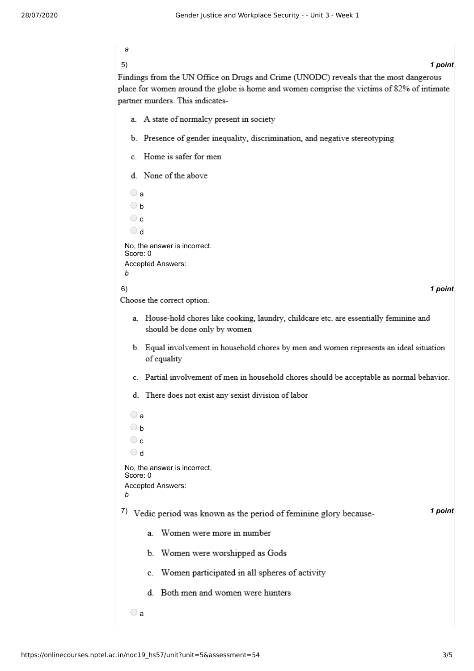| ٠ |     |  |
|---|-----|--|
| ٠ | . . |  |

### 5) *1 point*

Findings from the UN Office on Drugs and Crime (UNODC) reveals that the most dangerous place for women around the globe is home and women comprise the victims of 82% of intimate partner murders. This indicates-

- a. A state of normalcy present in society
- b. Presence of gender inequality, discrimination, and negative stereotyping
- c. Home is safer for men
- d. None of the above

 $\bigcirc$  a  $\bigcirc$  h  $\circ$  $\bigcirc$  d No, the answer is incorrect. Score: 0 Accepted Answers: *b* 6) *1 point* Choose the correct option. a. House-hold chores like cooking, laundry, childcare etc. are essentially feminine and should be done only by women b. Equal involvement in household chores by men and women represents an ideal situation of equality c. Partial involvement of men in household chores should be acceptable as normal behavior. d. There does not exist any sexist division of labor  $\bigcirc$  a  $\bigcirc$  h  $\circ$ b ⊙ No, the answer is incorrect. Score: 0 Accepted Answers: *b* <sup>7</sup>) Vedic period was known as the period of feminine glory because-<br><sup>7</sup>/<sub>2</sub> *1 point* a Women were more in number b. Women were worshipped as Gods c. Women participated in all spheres of activity d. Both men and women were hunters

 $\bigcirc$  a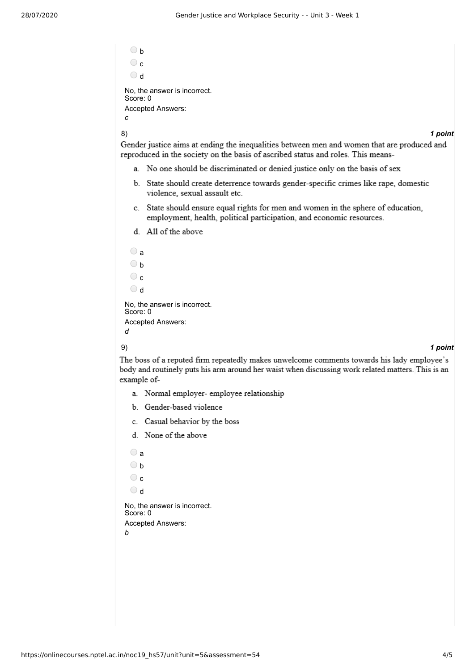$\bigcirc$  h  $\bigcirc$  c d No, the answer is incorrect. Score: 0 Accepted Answers: *c*

8) *1 point*

Gender justice aims at ending the inequalities between men and women that are produced and reproduced in the society on the basis of ascribed status and roles. This means-

- a. No one should be discriminated or denied justice only on the basis of sex
- b. State should create deterrence towards gender-specific crimes like rape, domestic violence, sexual assault etc.
- c. State should ensure equal rights for men and women in the sphere of education, employment, health, political participation, and economic resources.
- d. All of the above

| я                                        |
|------------------------------------------|
| h                                        |
| C.                                       |
| $\mathsf{d}$                             |
| No, the answer is incorrect.<br>Score: 0 |
| <b>Accepted Answers:</b>                 |
|                                          |

#### 9) *1 point*

The boss of a reputed firm repeatedly makes unwelcome comments towards his lady employee's body and routinely puts his arm around her waist when discussing work related matters. This is an example of-

- a. Normal employer- employee relationship
- b. Gender-based violence
- c. Casual behavior by the boss
- d. None of the above

 $\bigcirc$  a

- $\bigcirc$  b
- $\circ$
- $\bigcirc$  d

No, the answer is incorrect. Score: 0 Accepted Answers: *b*